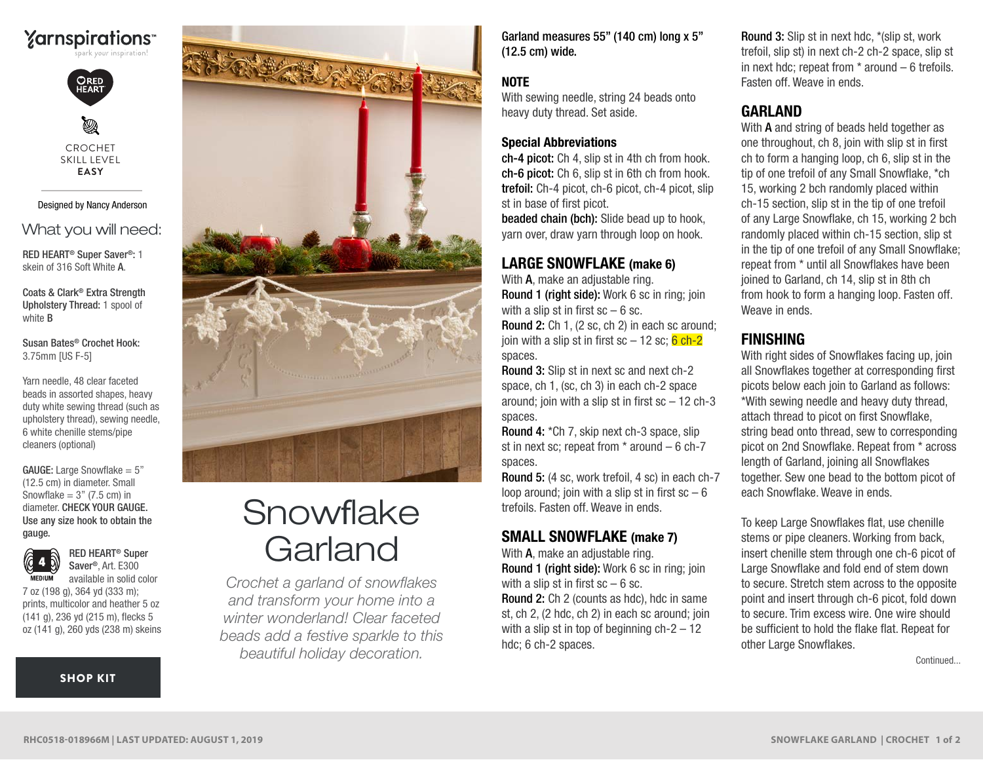# **Yarnspirations**



Ø CROCHET SKILL LEVEL **EASY**

#### Designed by Nancy Anderson

### What you will need:

RED HEART® Super Saver®: 1 skein of 316 Soft White A.

Coats & Clark® Extra Strength Upholstery Thread: 1 spool of white B

Susan Bates® Crochet Hook: 3.75mm [US F-5]

Yarn needle, 48 clear faceted beads in assorted shapes, heavy duty white sewing thread (such as upholstery thread), sewing needle, 6 white chenille stems/pipe cleaners (optional)

Use any size hook to obtain the gauge. **GAUGE:** Large Snowflake  $= 5$ " (12.5 cm) in diameter. Small Snowflake  $= 3$ " (7.5 cm) in diameter. CHECK YOUR GAUGE.



RED HEART® Super Saver®, Art. E300 available in solid color

7 oz (198 g), 364 yd (333 m); prints, multicolor and heather 5 oz (141 g), 236 yd (215 m), flecks 5 oz (141 g), 260 yds (238 m) skeins

[SHOP KIT](https://www.yarnspirations.com/red-heart-snowflake-garland/RHC0518-018966M.html#utm_source=pdf-yarnspirations&utm_medium=referral&utm_campaign=pdf-RHC0518-018966M)



# Snowflake **Garland**

*Crochet a garland of snowflakes and transform your home into a winter wonderland! Clear faceted beads add a festive sparkle to this beautiful holiday decoration.* 

Garland measures 55" (140 cm) long x 5" (12.5 cm) wide.

### NOTE

With sewing needle, string 24 beads onto heavy duty thread. Set aside.

#### Special Abbreviations

ch-4 picot: Ch 4, slip st in 4th ch from hook. ch-6 picot: Ch 6, slip st in 6th ch from hook. trefoil: Ch-4 picot, ch-6 picot, ch-4 picot, slip st in base of first picot.

beaded chain (bch): Slide bead up to hook, yarn over, draw yarn through loop on hook.

## LARGE SNOWFLAKE (make 6)

With **A**, make an adjustable ring. Round 1 (right side): Work 6 sc in ring; join with a slip st in first  $sc - 6$  sc.

Round 2: Ch 1, (2 sc, ch 2) in each sc around; join with a slip st in first  $sc - 12$  sc;  $6$  ch-2 spaces.

Round 3: Slip st in next sc and next ch-2 space, ch 1, (sc, ch 3) in each ch-2 space around; join with a slip st in first  $sc - 12$  ch-3 spaces.

Round 4: \*Ch 7, skip next ch-3 space, slip st in next sc; repeat from  $*$  around  $-6$  ch-7 spaces.

Round 5: (4 sc, work trefoil, 4 sc) in each ch-7 loop around; join with a slip st in first  $sc - 6$ trefoils. Fasten off. Weave in ends.

# SMALL SNOWFLAKE (make 7)

With **A**, make an adjustable ring. Round 1 (right side): Work 6 sc in ring; join with a slip st in first  $sc - 6$  sc. Round 2: Ch 2 (counts as hdc), hdc in same st, ch 2, (2 hdc, ch 2) in each sc around: ioin with a slip st in top of beginning  $ch-2-12$ hdc; 6 ch-2 spaces.

Round 3: Slip st in next hdc, \*(slip st, work trefoil, slip st) in next ch-2 ch-2 space, slip st in next hdc; repeat from \* around – 6 trefoils. Fasten off. Weave in ends.

# GARLAND

With **A** and string of beads held together as one throughout, ch 8, join with slip st in first ch to form a hanging loop, ch 6, slip st in the tip of one trefoil of any Small Snowflake, \*ch 15, working 2 bch randomly placed within ch-15 section, slip st in the tip of one trefoil of any Large Snowflake, ch 15, working 2 bch randomly placed within ch-15 section, slip st in the tip of one trefoil of any Small Snowflake; repeat from \* until all Snowflakes have been joined to Garland, ch 14, slip st in 8th ch from hook to form a hanging loop. Fasten off. Weave in ends.

# FINISHING

With right sides of Snowflakes facing up, join all Snowflakes together at corresponding first picots below each join to Garland as follows: \*With sewing needle and heavy duty thread, attach thread to picot on first Snowflake, string bead onto thread, sew to corresponding picot on 2nd Snowflake. Repeat from \* across length of Garland, joining all Snowflakes together. Sew one bead to the bottom picot of each Snowflake. Weave in ends.

To keep Large Snowflakes flat, use chenille stems or pipe cleaners. Working from back, insert chenille stem through one ch-6 picot of Large Snowflake and fold end of stem down to secure. Stretch stem across to the opposite point and insert through ch-6 picot, fold down to secure. Trim excess wire. One wire should be sufficient to hold the flake flat. Repeat for other Large Snowflakes.

Continued...